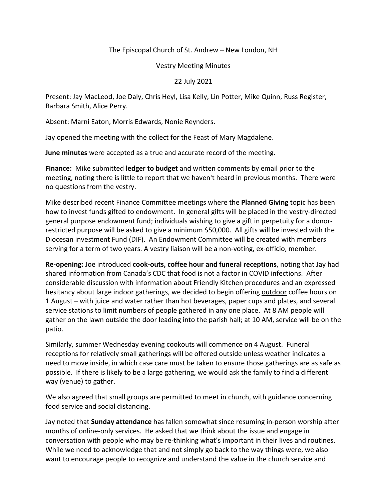## The Episcopal Church of St. Andrew – New London, NH

## Vestry Meeting Minutes

## 22 July 2021

Present: Jay MacLeod, Joe Daly, Chris Heyl, Lisa Kelly, Lin Potter, Mike Quinn, Russ Register, Barbara Smith, Alice Perry.

Absent: Marni Eaton, Morris Edwards, Nonie Reynders.

Jay opened the meeting with the collect for the Feast of Mary Magdalene.

**June minutes** were accepted as a true and accurate record of the meeting.

**Finance:** Mike submitted **ledger to budget** and written comments by email prior to the meeting, noting there is little to report that we haven't heard in previous months. There were no questions from the vestry.

Mike described recent Finance Committee meetings where the **Planned Giving** topic has been how to invest funds gifted to endowment. In general gifts will be placed in the vestry-directed general purpose endowment fund; individuals wishing to give a gift in perpetuity for a donorrestricted purpose will be asked to give a minimum \$50,000. All gifts will be invested with the Diocesan investment Fund (DIF). An Endowment Committee will be created with members serving for a term of two years. A vestry liaison will be a non-voting, ex-officio, member.

**Re-opening:** Joe introduced **cook-outs, coffee hour and funeral receptions**, noting that Jay had shared information from Canada's CDC that food is not a factor in COVID infections. After considerable discussion with information about Friendly Kitchen procedures and an expressed hesitancy about large indoor gatherings, we decided to begin offering outdoor coffee hours on 1 August – with juice and water rather than hot beverages, paper cups and plates, and several service stations to limit numbers of people gathered in any one place. At 8 AM people will gather on the lawn outside the door leading into the parish hall; at 10 AM, service will be on the patio.

Similarly, summer Wednesday evening cookouts will commence on 4 August. Funeral receptions for relatively small gatherings will be offered outside unless weather indicates a need to move inside, in which case care must be taken to ensure those gatherings are as safe as possible. If there is likely to be a large gathering, we would ask the family to find a different way (venue) to gather.

We also agreed that small groups are permitted to meet in church, with guidance concerning food service and social distancing.

Jay noted that **Sunday attendance** has fallen somewhat since resuming in-person worship after months of online-only services. He asked that we think about the issue and engage in conversation with people who may be re-thinking what's important in their lives and routines. While we need to acknowledge that and not simply go back to the way things were, we also want to encourage people to recognize and understand the value in the church service and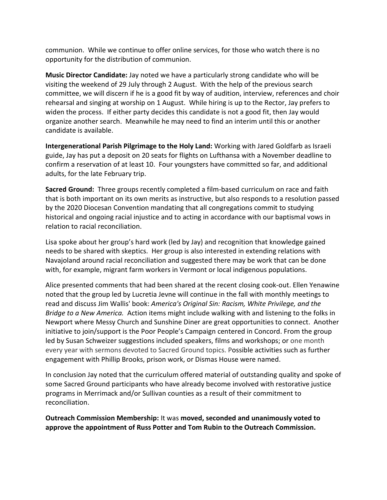communion. While we continue to offer online services, for those who watch there is no opportunity for the distribution of communion.

**Music Director Candidate:** Jay noted we have a particularly strong candidate who will be visiting the weekend of 29 July through 2 August. With the help of the previous search committee, we will discern if he is a good fit by way of audition, interview, references and choir rehearsal and singing at worship on 1 August. While hiring is up to the Rector, Jay prefers to widen the process. If either party decides this candidate is not a good fit, then Jay would organize another search. Meanwhile he may need to find an interim until this or another candidate is available.

**Intergenerational Parish Pilgrimage to the Holy Land:** Working with Jared Goldfarb as Israeli guide, Jay has put a deposit on 20 seats for flights on Lufthansa with a November deadline to confirm a reservation of at least 10. Four youngsters have committed so far, and additional adults, for the late February trip.

**Sacred Ground:** Three groups recently completed a film-based curriculum on race and faith that is both important on its own merits as instructive, but also responds to a resolution passed by the 2020 Diocesan Convention mandating that all congregations commit to studying historical and ongoing racial injustice and to acting in accordance with our baptismal vows in relation to racial reconciliation.

Lisa spoke about her group's hard work (led by Jay) and recognition that knowledge gained needs to be shared with skeptics. Her group is also interested in extending relations with Navajoland around racial reconciliation and suggested there may be work that can be done with, for example, migrant farm workers in Vermont or local indigenous populations.

Alice presented comments that had been shared at the recent closing cook-out. Ellen Yenawine noted that the group led by Lucretia Jevne will continue in the fall with monthly meetings to read and discuss Jim Wallis' book: *America's Original Sin: Racism, White Privilege, and the Bridge to a New America.* Action items might include walking with and listening to the folks in Newport where Messy Church and Sunshine Diner are great opportunities to connect. Another initiative to join/support is the Poor People's Campaign centered in Concord. From the group led by Susan Schweizer suggestions included speakers, films and workshops; or one month every year with sermons devoted to Sacred Ground topics. Possible activities such as further engagement with Phillip Brooks, prison work, or Dismas House were named.

In conclusion Jay noted that the curriculum offered material of outstanding quality and spoke of some Sacred Ground participants who have already become involved with restorative justice programs in Merrimack and/or Sullivan counties as a result of their commitment to reconciliation.

**Outreach Commission Membership:** It was **moved, seconded and unanimously voted to approve the appointment of Russ Potter and Tom Rubin to the Outreach Commission.**